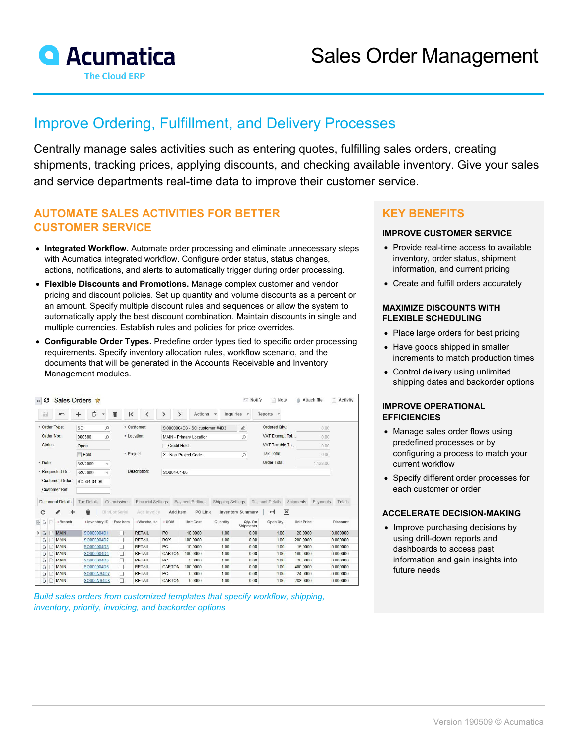

# Improve Ordering, Fulfillment, and Delivery Processes

Centrally manage sales activities such as entering quotes, fulfilling sales orders, creating shipments, tracking prices, applying discounts, and checking available inventory. Give your sales and service departments real-time data to improve their customer service.

# **AUTOMATE SALES ACTIVITIES FOR BETTER CUSTOMER SERVICE**

- **Integrated Workflow.** Automate order processing and eliminate unnecessary steps with Acumatica integrated workflow. Configure order status, status changes, actions, notifications, and alerts to automatically trigger during order processing.
- **Flexible Discounts and Promotions.** Manage complex customer and vendor pricing and discount policies. Set up quantity and volume discounts as a percent or an amount. Specify multiple discount rules and sequences or allow the system to automatically apply the best discount combination. Maintain discounts in single and multiple currencies. Establish rules and policies for price overrides.
- **Configurable Order Types.** Predefine order types tied to specific order processing requirements. Specify inventory allocation rules, workflow scenario, and the documents that will be generated in the Accounts Receivable and Inventory Management modules.

| $\ll$                         | O       |                                   | Sales Orders *                                                                                              |                               |                                           |                                   |                                             |                               |                          | $\equiv$ Notify                                           | Note                                            | û<br>Attach file  |          | Activity                                                             |
|-------------------------------|---------|-----------------------------------|-------------------------------------------------------------------------------------------------------------|-------------------------------|-------------------------------------------|-----------------------------------|---------------------------------------------|-------------------------------|--------------------------|-----------------------------------------------------------|-------------------------------------------------|-------------------|----------|----------------------------------------------------------------------|
| 圖                             |         | $\blacksquare$                    | D<br>÷                                                                                                      | î<br>$\blacktriangledown$     | $\mathsf{K}$                              | ≺                                 | ゝ                                           | $\geq$<br>Actions             | $\overline{\phantom{a}}$ | Inquiries<br>$\mathbf{v}$                                 | Reports -                                       |                   |          |                                                                      |
| * Order Type:<br>Order Nbr.:  |         |                                   | <sub>SO</sub><br>$\mathcal{Q}$<br>000580<br>$\mathcal{Q}$<br>Open<br>Hold<br>3/3/2009<br>۷<br>3/3/2009<br>÷ |                               |                                           | * Customer:                       |                                             | SO000004D3 - SO customer #4D3 |                          | $\mathcal{L}% _{M_{1},M_{2}}^{\alpha,\beta}(\varepsilon)$ | Ordered Qty.:                                   |                   | 8.00     |                                                                      |
|                               |         |                                   |                                                                                                             |                               | * Location:<br>* Project:<br>Description: |                                   | MAIN - Primary Location<br>Q<br>Credit Hold |                               |                          |                                                           | VAT Exempt Tot                                  |                   | 0.00     |                                                                      |
|                               | Status: |                                   |                                                                                                             |                               |                                           |                                   |                                             |                               |                          |                                                           | VAT Taxable To                                  |                   | 0.00     |                                                                      |
| * Date:<br>* Requested On:    |         |                                   |                                                                                                             |                               |                                           |                                   | Q<br>X - Non-Project Code.                  |                               |                          | <b>Tax Total:</b>                                         |                                                 | 0.00              |          |                                                                      |
|                               |         |                                   |                                                                                                             |                               |                                           |                                   |                                             |                               |                          | Order Total:                                              |                                                 | 1,128.00          |          |                                                                      |
|                               |         |                                   |                                                                                                             |                               |                                           |                                   | SO004-04-06                                 |                               |                          |                                                           |                                                 |                   |          |                                                                      |
| Customer Order:               |         |                                   | SO004-04-06                                                                                                 |                               |                                           |                                   |                                             |                               |                          |                                                           |                                                 |                   |          |                                                                      |
|                               |         |                                   |                                                                                                             |                               |                                           |                                   |                                             |                               |                          |                                                           |                                                 |                   |          |                                                                      |
|                               |         | <b>Customer Ref:</b>              |                                                                                                             |                               |                                           |                                   |                                             |                               |                          |                                                           |                                                 |                   |          |                                                                      |
|                               |         | <b>Document Details</b><br>I<br>÷ | <b>Tax Details</b><br>û                                                                                     | Commissions<br>Bin/Lot/Serial |                                           | Financial Settings<br>Add Invoice | Add Item                                    | Payment Settings<br>PO Link   | Shipping Settings        | <b>Inventory Summary</b>                                  | Discount Details<br>$\pmb{\times}$<br>$\mapsto$ | Shipments         | Payments |                                                                      |
|                               |         | *Branch                           | *Inventory ID                                                                                               |                               | Free Item                                 | * Warehouse                       | * UOM                                       | <b>Unit Cost</b>              | Quantity                 | Qty. On<br>Shipments                                      | Open Qtv.                                       | <b>Unit Price</b> |          |                                                                      |
|                               |         | <b>MAIN</b>                       | SO000004D1                                                                                                  |                               | п                                         | <b>RETAIL</b>                     | PC                                          | 10.0000                       | 1.00                     | 0.00                                                      | 1.00                                            | 20.0000           |          | Totals<br>Discount<br>0.000000                                       |
| $\mathbf{0}$<br>Û             |         | <b>MAIN</b>                       | SO000004D2                                                                                                  |                               | □                                         | <b>RETAIL</b>                     | <b>BOX</b>                                  | 100,0000                      | 1.00                     | 0.00                                                      | 1.00                                            | 200,0000          |          |                                                                      |
| Ū,                            | n       | <b>MAIN</b>                       | SO000004D3                                                                                                  |                               | П                                         | <b>RETAIL</b>                     | PC.                                         | 10.0000                       | 1.00                     | 0.00                                                      | 1.00                                            | 16,0000           |          |                                                                      |
| O,                            |         | <b>MAIN</b>                       | SO000004D4                                                                                                  |                               | п                                         | <b>RETAIL</b>                     | CARTON                                      | 100,0000                      | 1.00                     | 0.00                                                      | 1.00                                            | 160,0000          |          |                                                                      |
| Ū,                            |         | <b>MAIN</b>                       | SO000004D5                                                                                                  |                               | П                                         | <b>RETAIL</b>                     | PC                                          | 5.0000                        | 1.00                     | 0.00                                                      | 1.00                                            | 20.0000           |          |                                                                      |
| Û,                            |         | <b>MAIN</b>                       | SO000004D6                                                                                                  |                               | п                                         | <b>RETAIL</b>                     | CARTON                                      | 100,0000                      | 1.00                     | 0.00                                                      | 1.00                                            | 400 0000          |          |                                                                      |
| C<br><b>B</b> 0<br>$\,$<br>Ū, |         | <b>MAIN</b>                       | SO000NS4D7                                                                                                  |                               | п                                         | <b>RETAIL</b>                     | PC                                          | 0.0000                        | 1.00                     | 0.00                                                      | 1.00                                            | 24,0000           |          | 0.000000<br>0.000000<br>0.000000<br>0.000000<br>0.000000<br>0.000000 |

*Build sales orders from customized templates that specify workflow, shipping, inventory, priority, invoicing, and backorder options*

# **KEY BENEFITS**

### **IMPROVE CUSTOMER SERVICE**

- Provide real-time access to available inventory, order status, shipment information, and current pricing
- Create and fulfill orders accurately

#### **MAXIMIZE DISCOUNTS WITH FLEXIBLE SCHEDULING**

- Place large orders for best pricing
- Have goods shipped in smaller increments to match production times
- Control delivery using unlimited shipping dates and backorder options

#### **IMPROVE OPERATIONAL EFFICIENCIES**

- Manage sales order flows using predefined processes or by configuring a process to match your current workflow
- Specify different order processes for each customer or order

#### **ACCELERATE DECISION-MAKING**

• Improve purchasing decisions by using drill-down reports and dashboards to access past information and gain insights into future needs